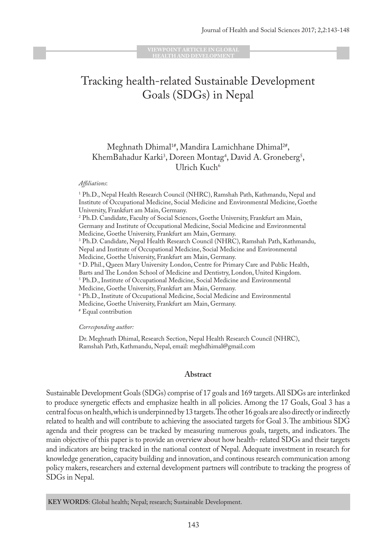**VIEWPOINT ARTICLE IN GLOBAL HEALTH AND DEVELOPMENT**

# Tracking health-related Sustainable Development Goals (SDGs) in Nepal

## Meghnath Dhimal<sup>1#</sup>, Mandira Lamichhane Dhimal<sup>2#</sup>, KhemBahadur Karki<sup>3</sup>, Doreen Montag<sup>4</sup>, David A. Groneberg<sup>5</sup>, Ulrich Kuch6

#### *Affi liations*:

<sup>1</sup> Ph.D., Nepal Health Research Council (NHRC), Ramshah Path, Kathmandu, Nepal and Institute of Occupational Medicine, Social Medicine and Environmental Medicine, Goethe University, Frankfurt am Main, Germany. 2 Ph.D. Candidate, Faculty of Social Sciences, Goethe University, Frankfurt am Main, Germany and Institute of Occupational Medicine, Social Medicine and Environmental Medicine, Goethe University, Frankfurt am Main, Germany. 3 Ph.D. Candidate, Nepal Health Research Council (NHRC), Ramshah Path, Kathmandu, Nepal and Institute of Occupational Medicine, Social Medicine and Environmental Medicine, Goethe University, Frankfurt am Main, Germany. 4 D. Phil., Queen Mary University London, Centre for Primary Care and Public Health, Barts and The London School of Medicine and Dentistry, London, United Kingdom. 5 Ph.D., Institute of Occupational Medicine, Social Medicine and Environmental Medicine, Goethe University, Frankfurt am Main, Germany. 6 Ph.D., Institute of Occupational Medicine, Social Medicine and Environmental Medicine, Goethe University, Frankfurt am Main, Germany. # Equal contribution

*Corresponding author:* 

Dr. Meghnath Dhimal, Research Section, Nepal Health Research Council (NHRC), Ramshah Path, Kathmandu, Nepal, email: meghdhimal@gmail.com

#### **Abstract**

Sustainable Development Goals (SDGs) comprise of 17 goals and 169 targets. All SDGs are interlinked to produce synergetic effects and emphasize health in all policies. Among the 17 Goals, Goal 3 has a central focus on health, which is underpinned by 13 targets. The other 16 goals are also directly or indirectly related to health and will contribute to achieving the associated targets for Goal 3. The ambitious SDG agenda and their progress can be tracked by measuring numerous goals, targets, and indicators. The main objective of this paper is to provide an overview about how health- related SDGs and their targets and indicators are being tracked in the national context of Nepal. Adequate investment in research for knowledge generation, capacity building and innovation, and continous research communication among policy makers, researchers and external development partners will contribute to tracking the progress of SDGs in Nepal.

**KEY WORDS**: Global health; Nepal; research; Sustainable Development.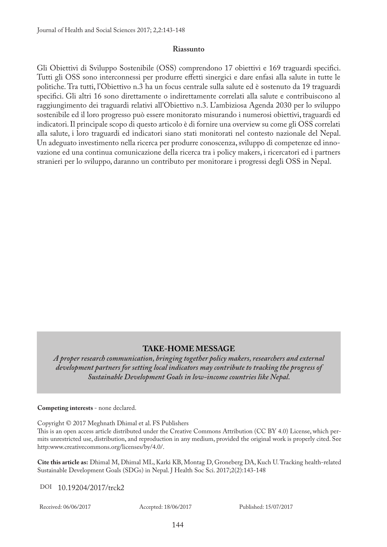#### **Riassunto**

Gli Obiettivi di Sviluppo Sostenibile (OSS) comprendono 17 obiettivi e 169 traguardi specifici. Tutti gli OSS sono interconnessi per produrre effetti sinergici e dare enfasi alla salute in tutte le politiche. Tra tutti, l'Obiettivo n.3 ha un focus centrale sulla salute ed è sostenuto da 19 traguardi specifici. Gli altri 16 sono direttamente o indirettamente correlati alla salute e contribuiscono al raggiungimento dei traguardi relativi all'Obiettivo n.3. L'ambiziosa Agenda 2030 per lo sviluppo sostenibile ed il loro progresso può essere monitorato misurando i numerosi obiettivi, traguardi ed indicatori. Il principale scopo di questo articolo è di fornire una overview su come gli OSS correlati alla salute, i loro traguardi ed indicatori siano stati monitorati nel contesto nazionale del Nepal. Un adeguato investimento nella ricerca per produrre conoscenza, sviluppo di competenze ed innovazione ed una continua comunicazione della ricerca tra i policy makers, i ricercatori ed i partners stranieri per lo sviluppo, daranno un contributo per monitorare i progressi degli OSS in Nepal.

### **TAKE-HOME MESSAGE**

*A proper research communication, bringing together policy makers, researchers and external development partners for setting local indicators may contribute to tracking the progress of Sustainable Development Goals in low-income countries like Nepal.* 

**Competing interests** - none declared.

Copyright © 2017 Meghnath Dhimal et al. FS Publishers This is an open access article distributed under the Creative Commons Attribution (CC BY 4.0) License, which permits unrestricted use, distribution, and reproduction in any medium, provided the original work is properly cited. See http:www.creativecommons.org/licenses/by/4.0/.

**Cite this article as:** Dhimal M, Dhimal ML, Karki KB, Montag D, Groneberg DA, Kuch U. Tracking health-related Sustainable Development Goals (SDGs) in Nepal. J Health Soc Sci. 2017;2(2):143-148

DOI 10.19204/2017/trck2

Received: 06/06/2017 Accepted: 18/06/2017 Published: 15/07/2017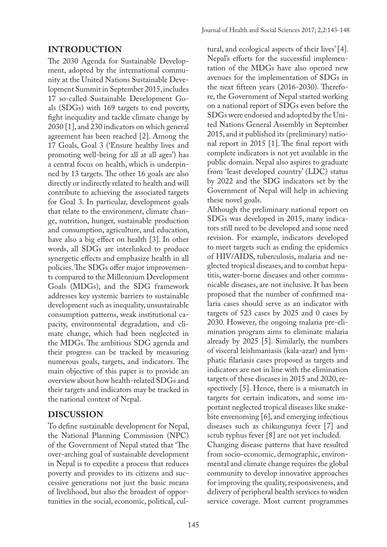The 2030 Agenda for Sustainable Development, adopted by the international community at the United Nations Sustainable Development Summit in September 2015, includes 17 so-called Sustainable Development Goals (SDGs) with 169 targets to end poverty, fight inequality and tackle climate change by 2030 [1], and 230 indicators on which general agreement has been reached [2]. Among the 17 Goals, Goal 3 ('Ensure healthy lives and promoting well-being for all at all ages') has a central focus on health, which is underpinned by 13 targets. The other 16 goals are also directly or indirectly related to health and will contribute to achieving the associated targets for Goal 3. In particular, development goals that relate to the environment, climate change, nutrition, hunger, sustainable production and consumption, agriculture, and education, have also a big effect on health [3]. In other words, all SDGs are interlinked to produce synergetic effects and emphasize health in all policies. The SDGs offer major improvements compared to the Millennium Development Goals (MDGs), and the SDG framework addresses key systemic barriers to sustainable development such as inequality, unsustainable consumption patterns, weak institutional capacity, environmental degradation, and climate change, which had been neglected in the MDGs. The ambitious SDG agenda and their progress can be tracked by measuring numerous goals, targets, and indicators. The main objective of this paper is to provide an overview about how health-related SDGs and their targets and indicators may be tracked in the national context of Nepal.

## **DISCUSSION**

To define sustainable development for Nepal, the National Planning Commission (NPC) of the Government of Nepal stated that 'The over-arching goal of sustainable development in Nepal is to expedite a process that reduces poverty and provides to its citizens and successive generations not just the basic means of livelihood, but also the broadest of opportunities in the social, economic, political, cul-

tural, and ecological aspects of their lives' [4]. Nepal's efforts for the successful implementation of the MDGs have also opened new avenues for the implementation of SDGs in the next fifteen years (2016-2030). Therefore, the Government of Nepal started working on a national report of SDGs even before the SDGs were endorsed and adopted by the United Nations General Assembly in September 2015, and it published its (preliminary) national report in 2015 [1]. The final report with complete indicators is not yet available in the public domain. Nepal also aspires to graduate from 'least developed country' (LDC) status by 2022 and the SDG indicators set by the Government of Nepal will help in achieving these novel goals.

Although the preliminary national report on SDGs was developed in 2015, many indicators still need to be developed and some need revision. For example, indicators developed to meet targets such as ending the epidemics of HIV/AIDS, tuberculosis, malaria and neglected tropical diseases, and to combat hepatitis, water-borne diseases and other communicable diseases, are not inclusive. It has been proposed that the number of confirmed malaria cases should serve as an indicator with targets of 523 cases by 2025 and 0 cases by 2030. However, the ongoing malaria pre-elimination program aims to eliminate malaria already by 2025 [5]. Similarly, the numbers of visceral leishmaniasis (kala-azar) and lymphatic filariasis cases proposed as targets and indicators are not in line with the elimination targets of these diseases in 2015 and 2020, respectively [5]. Hence, there is a mismatch in targets for certain indicators, and some important neglected tropical diseases like snakebite envenoming [6], and emerging infectious diseases such as chikungunya fever [7] and scrub typhus fever [8] are not yet included. Changing disease patterns that have resulted from socio-economic, demographic, environmental and climate change requires the global community to develop innovative approaches for improving the quality, responsiveness, and delivery of peripheral health services to widen service coverage. Most current programmes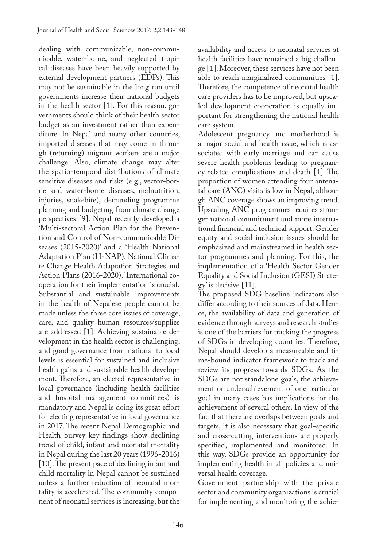dealing with communicable, non-communicable, water-borne, and neglected tropical diseases have been heavily supported by external development partners (EDPs). This may not be sustainable in the long run until governments increase their national budgets in the health sector [1]. For this reason, governments should think of their health sector budget as an investment rather than expenditure. In Nepal and many other countries, imported diseases that may come in through (returning) migrant workers are a major challenge. Also, climate change may alter the spatio-temporal distributions of climate sensitive diseases and risks (e.g., vector-borne and water-borne diseases, malnutrition, injuries, snakebite), demanding programme planning and budgeting from climate change perspectives [9]. Nepal recently developed a 'Multi-sectoral Action Plan for the Prevention and Control of Non-communicable Diseases (2015-2020)' and a 'Health National Adaptation Plan (H-NAP): National Climate Change Health Adaptation Strategies and Action Plans (2016-2020).' International cooperation for their implementation is crucial. Substantial and sustainable improvements in the health of Nepalese people cannot be made unless the three core issues of coverage, care, and quality human resources/supplies are addressed [1]. Achieving sustainable development in the health sector is challenging, and good governance from national to local levels is essential for sustained and inclusive health gains and sustainable health development. Therefore, an elected representative in local governance (including health facilities and hospital management committees) is mandatory and Nepal is doing its great effort for electing representative in local governance in 2017. The recent Nepal Demographic and Health Survey key findings show declining trend of child, infant and neonatal mortality in Nepal during the last 20 years (1996-2016) [10]. The present pace of declining infant and child mortality in Nepal cannot be sustained unless a further reduction of neonatal mortality is accelerated. The community component of neonatal services is increasing, but the

availability and access to neonatal services at health facilities have remained a big challenge [1]. Moreover, these services have not been able to reach marginalized communities [1]. Therefore, the competence of neonatal health care providers has to be improved, but upscaled development cooperation is equally important for strengthening the national health care system.

Adolescent pregnancy and motherhood is a major social and health issue, which is associated with early marriage and can cause severe health problems leading to pregnancy-related complications and death [1]. The proportion of women attending four antenatal care (ANC) visits is low in Nepal, although ANC coverage shows an improving trend. Upscaling ANC programmes requires stronger national commitment and more international financial and technical support. Gender equity and social inclusion issues should be emphasized and mainstreamed in health sector programmes and planning. For this, the implementation of a 'Health Sector Gender Equality and Social Inclusion (GESI) Strategy' is decisive [11].

The proposed SDG baseline indicators also differ according to their sources of data. Hence, the availability of data and generation of evidence through surveys and research studies is one of the barriers for tracking the progress of SDGs in developing countries. Therefore, Nepal should develop a measureable and time-bound indicator framework to track and review its progress towards SDGs. As the SDGs are not standalone goals, the achievement or underachievement of one particular goal in many cases has implications for the achievement of several others. In view of the fact that there are overlaps between goals and targets, it is also necessary that goal-specific and cross-cutting interventions are properly specified, implemented and monitored. In this way, SDGs provide an opportunity for implementing health in all policies and universal health coverage.

Government partnership with the private sector and community organizations is crucial for implementing and monitoring the achie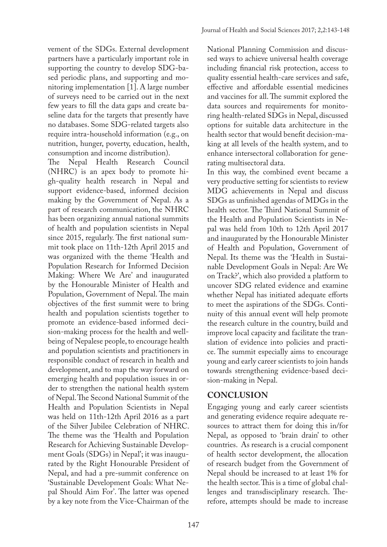vement of the SDGs. External development partners have a particularly important role in supporting the country to develop SDG-based periodic plans, and supporting and monitoring implementation [1]. A large number of surveys need to be carried out in the next few years to fill the data gaps and create baseline data for the targets that presently have no databases. Some SDG-related targets also require intra-household information (e.g., on nutrition, hunger, poverty, education, health, consumption and income distribution).

The Nepal Health Research Council (NHRC) is an apex body to promote high-quality health research in Nepal and support evidence-based, informed decision making by the Government of Nepal. As a part of research communication, the NHRC has been organizing annual national summits of health and population scientists in Nepal since 2015, regularly. The first national summit took place on 11th-12th April 2015 and was organized with the theme 'Health and Population Research for Informed Decision Making: Where We Are' and inaugurated by the Honourable Minister of Health and Population, Government of Nepal. The main objectives of the first summit were to bring health and population scientists together to promote an evidence-based informed decision-making process for the health and wellbeing of Nepalese people, to encourage health and population scientists and practitioners in responsible conduct of research in health and development, and to map the way forward on emerging health and population issues in order to strengthen the national health system of Nepal. The Second National Summit of the Health and Population Scientists in Nepal was held on 11th-12th April 2016 as a part of the Silver Jubilee Celebration of NHRC. The theme was the 'Health and Population Research for Achieving Sustainable Development Goals (SDGs) in Nepal'; it was inaugurated by the Right Honourable President of Nepal, and had a pre-summit conference on 'Sustainable Development Goals: What Nepal Should Aim For'. The latter was opened by a key note from the Vice-Chairman of the

National Planning Commission and discussed ways to achieve universal health coverage including financial risk protection, access to quality essential health-care services and safe, effective and affordable essential medicines and vaccines for all. The summit explored the data sources and requirements for monitoring health-related SDGs in Nepal, discussed options for suitable data architecture in the health sector that would benefit decision-making at all levels of the health system, and to enhance intersectoral collaboration for generating multisectoral data.

In this way, the combined event became a very productive setting for scientists to review MDG achievements in Nepal and discuss SDGs as unfinished agendas of MDGs in the health sector. The Third National Summit of the Health and Population Scientists in Nepal was held from 10th to 12th April 2017 and inaugurated by the Honourable Minister of Health and Population, Government of Nepal. Its theme was the 'Health in Sustainable Development Goals in Nepal: Are We on Track?', which also provided a platform to uncover SDG related evidence and examine whether Nepal has initiated adequate efforts to meet the aspirations of the SDGs. Continuity of this annual event will help promote the research culture in the country, build and improve local capacity and facilitate the translation of evidence into policies and practice. The summit especially aims to encourage young and early career scientists to join hands towards strengthening evidence-based decision-making in Nepal.

## **CONCLUSION**

Engaging young and early career scientists and generating evidence require adequate resources to attract them for doing this in/for Nepal, as opposed to 'brain drain' to other countries. As research is a crucial component of health sector development, the allocation of research budget from the Government of Nepal should be increased to at least 1% for the health sector. This is a time of global challenges and transdisciplinary research. Therefore, attempts should be made to increase